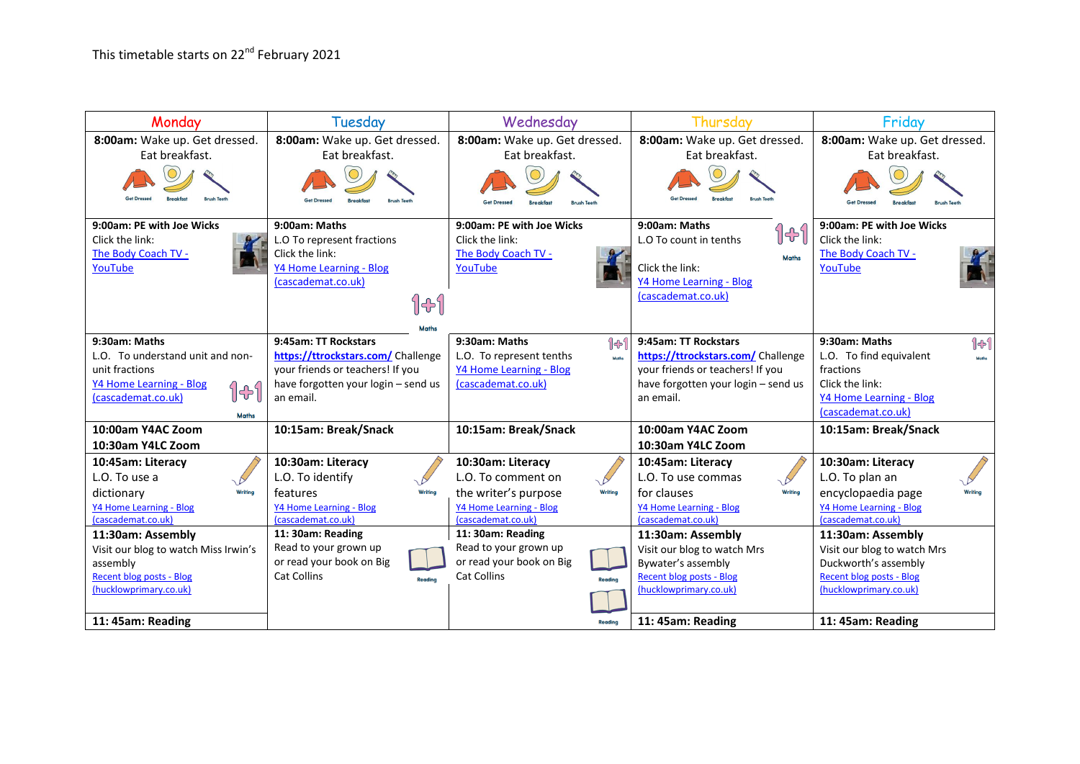| Monday                               | Tuesday                             | Wednesday                         | Thursday                            | Friday                        |
|--------------------------------------|-------------------------------------|-----------------------------------|-------------------------------------|-------------------------------|
| 8:00am: Wake up. Get dressed.        | 8:00am: Wake up. Get dressed.       | 8:00am: Wake up. Get dressed.     | 8:00am: Wake up. Get dressed.       | 8:00am: Wake up. Get dressed. |
| Eat breakfast.                       | Eat breakfast.                      | Eat breakfast.                    | Eat breakfast.                      | Eat breakfast.                |
|                                      |                                     |                                   |                                     |                               |
| 9:00am: PE with Joe Wicks            | 9:00am: Maths                       | 9:00am: PE with Joe Wicks         | 9:00am: Maths                       | 9:00am: PE with Joe Wicks     |
| Click the link:                      | L.O To represent fractions          | Click the link:                   | ျမှ<br>L.O To count in tenths       | Click the link:               |
| The Body Coach TV -                  | Click the link:                     | The Body Coach TV -               | <b>Maths</b>                        | The Body Coach TV -           |
| YouTube                              | Y4 Home Learning - Blog             | YouTube                           | Click the link:                     | YouTube                       |
|                                      | (cascademat.co.uk)                  |                                   | Y4 Home Learning - Blog             |                               |
|                                      | 141                                 |                                   | (cascademat.co.uk)                  |                               |
|                                      |                                     |                                   |                                     |                               |
|                                      | <b>Maths</b>                        |                                   |                                     |                               |
| 9:30am: Maths                        | 9:45am: TT Rockstars                | 9:30am: Maths<br>1 +              | 9:45am: TT Rockstars                | 9:30am: Maths<br>101          |
| L.O. To understand unit and non-     | https://ttrockstars.com/ Challenge  | L.O. To represent tenths<br>Moths | https://ttrockstars.com/ Challenge  | L.O. To find equivalent       |
| unit fractions                       | your friends or teachers! If you    | <b>Y4 Home Learning - Blog</b>    | your friends or teachers! If you    | fractions                     |
| Y4 Home Learning - Blog<br>141       | have forgotten your login - send us | (cascademat.co.uk)                | have forgotten your login - send us | Click the link:               |
| (cascademat.co.uk)                   | an email.                           |                                   | an email.                           | Y4 Home Learning - Blog       |
| <b>Maths</b>                         |                                     |                                   |                                     | (cascademat.co.uk)            |
| 10:00am Y4AC Zoom                    | 10:15am: Break/Snack                | 10:15am: Break/Snack              | 10:00am Y4AC Zoom                   | 10:15am: Break/Snack          |
| 10:30am Y4LC Zoom                    |                                     |                                   | 10:30am Y4LC Zoom                   |                               |
| 10:45am: Literacy                    | 10:30am: Literacy                   | 10:30am: Literacy                 | 10:45am: Literacy                   | 10:30am: Literacy             |
| L.O. To use a                        | L.O. To identify                    | L.O. To comment on                | L.O. To use commas                  | L.O. To plan an               |
| Writing<br>dictionary                | Writing<br>features                 | the writer's purpose<br>Writing   | Writing<br>for clauses              | encyclopaedia page            |
| Y4 Home Learning - Blog              | Y4 Home Learning - Blog             | Y4 Home Learning - Blog           | Y4 Home Learning - Blog             | Y4 Home Learning - Blog       |
| (cascademat.co.uk)                   | (cascademat.co.uk)                  | (cascademat.co.uk)                | (cascademat.co.uk)                  | (cascademat.co.uk)            |
| 11:30am: Assembly                    | 11: 30am: Reading                   | 11: 30am: Reading                 | 11:30am: Assembly                   | 11:30am: Assembly             |
| Visit our blog to watch Miss Irwin's | Read to your grown up               | Read to your grown up             | Visit our blog to watch Mrs         | Visit our blog to watch Mrs   |
| assembly                             | or read your book on Big            | or read your book on Big          | Bywater's assembly                  | Duckworth's assembly          |
| <b>Recent blog posts - Blog</b>      | <b>Cat Collins</b><br>Reading       | <b>Cat Collins</b><br>Reading     | <b>Recent blog posts - Blog</b>     | Recent blog posts - Blog      |
| (hucklowprimary.co.uk)               |                                     |                                   | (hucklowprimary.co.uk)              | (hucklowprimary.co.uk)        |
|                                      |                                     |                                   |                                     |                               |
| 11: 45am: Reading                    |                                     | Reading                           | 11: 45am: Reading                   | 11: 45am: Reading             |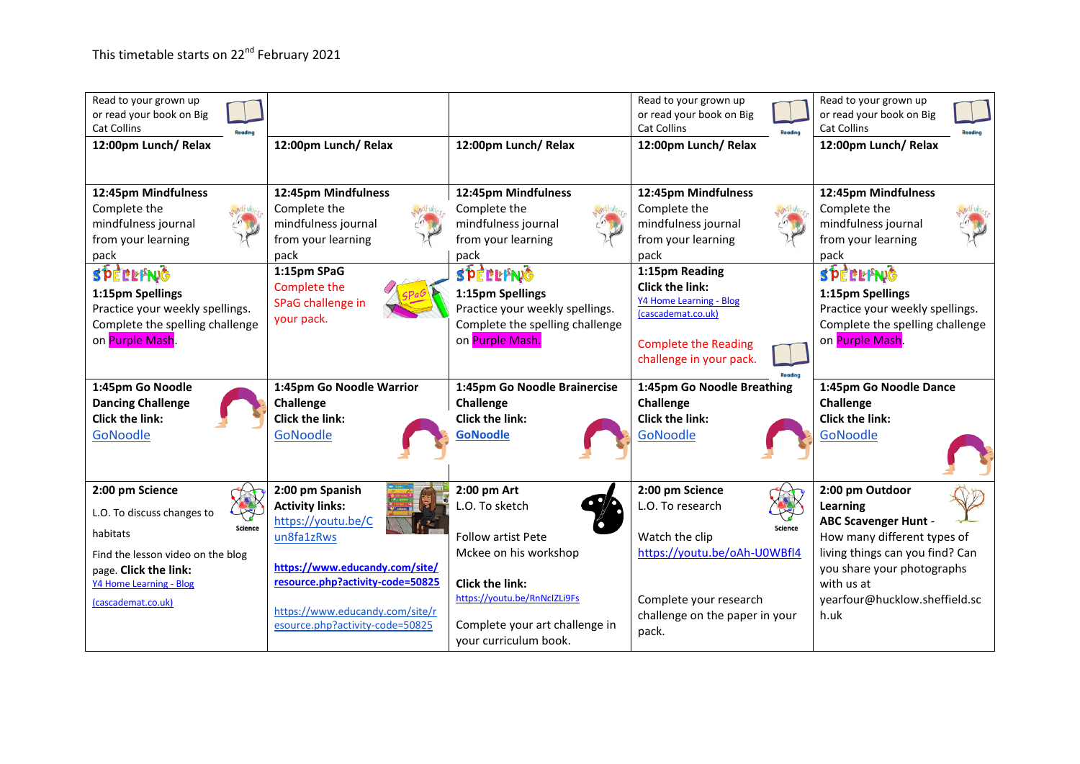| Read to your grown up<br>or read your book on Big<br><b>Cat Collins</b><br>Readin<br>12:00pm Lunch/ Relax             | 12:00pm Lunch/Relax                                                                      | 12:00pm Lunch/ Relax                                                                                                  | Read to your grown up<br>or read your book on Big<br><b>Cat Collins</b><br>Reading<br>12:00pm Lunch/Relax                                           | Read to your grown up<br>or read your book on Big<br><b>Cat Collins</b><br>12:00pm Lunch/Relax                        |
|-----------------------------------------------------------------------------------------------------------------------|------------------------------------------------------------------------------------------|-----------------------------------------------------------------------------------------------------------------------|-----------------------------------------------------------------------------------------------------------------------------------------------------|-----------------------------------------------------------------------------------------------------------------------|
| 12:45pm Mindfulness<br>Complete the<br>mindfulness journal<br>from your learning<br>pack                              | 12:45pm Mindfulness<br>Complete the<br>mindfulness journal<br>from your learning<br>pack | 12:45pm Mindfulness<br>Complete the<br>mindfulness journal<br>from your learning<br>pack                              | 12:45pm Mindfulness<br>Complete the<br>mindfulness journal<br>from your learning<br>pack                                                            | 12:45pm Mindfulness<br>Complete the<br>mindfulness journal<br>from your learning<br>pack                              |
| SPEBLFNG<br>1:15pm Spellings<br>Practice your weekly spellings.<br>Complete the spelling challenge<br>on Purple Mash. | 1:15pm SPaG<br>Complete the<br>SPaG challenge in<br>your pack.                           | SPEBLFNG<br>1:15pm Spellings<br>Practice your weekly spellings.<br>Complete the spelling challenge<br>on Purple Mash. | 1:15pm Reading<br><b>Click the link:</b><br>Y4 Home Learning - Blog<br>(cascademat.co.uk)<br><b>Complete the Reading</b><br>challenge in your pack. | SPEBLFNG<br>1:15pm Spellings<br>Practice your weekly spellings.<br>Complete the spelling challenge<br>on Purple Mash. |
|                                                                                                                       |                                                                                          |                                                                                                                       |                                                                                                                                                     |                                                                                                                       |
| 1:45pm Go Noodle<br><b>Dancing Challenge</b><br><b>Click the link:</b><br><b>GoNoodle</b>                             | 1:45pm Go Noodle Warrior<br>Challenge<br><b>Click the link:</b><br>GoNoodle              | 1:45pm Go Noodle Brainercise<br>Challenge<br>Click the link:<br><b>GoNoodle</b>                                       | 1:45pm Go Noodle Breathing<br>Challenge<br>Click the link:<br>GoNoodle                                                                              | 1:45pm Go Noodle Dance<br>Challenge<br><b>Click the link:</b><br>GoNoodle                                             |